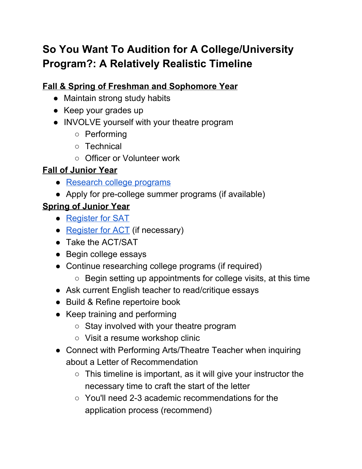# **So You Want To Audition for A College/University Program?: A Relatively Realistic Timeline**

## **Fall & Spring of Freshman and Sophomore Year**

- Maintain strong study habits
- Keep your grades up
- INVOLVE yourself with your theatre program
	- Performing
	- Technical
	- Officer or Volunteer work

#### **Fall of Junior Year**

- [Research](#page-5-0) college programs
- Apply for pre-college summer programs (if available)

#### **Spring of Junior Year**

- [Register](https://collegereadiness.collegeboard.org/sat/register/dates-deadlines) for SAT
- [Register](http://www.act.org/content/act/en/products-and-services/the-act/registration.html) for ACT (if necessary)
- Take the ACT/SAT
- Begin college essays
- Continue researching college programs (if required)
	- Begin setting up appointments for college visits, at this time
- Ask current English teacher to read/critique essays
- Build & Refine repertoire book
- Keep training and performing
	- Stay involved with your theatre program
	- Visit a resume workshop clinic
- Connect with Performing Arts/Theatre Teacher when inquiring about a Letter of Recommendation
	- $\circ$  This timeline is important, as it will give your instructor the necessary time to craft the start of the letter
	- You'll need 2-3 academic recommendations for the application process (recommend)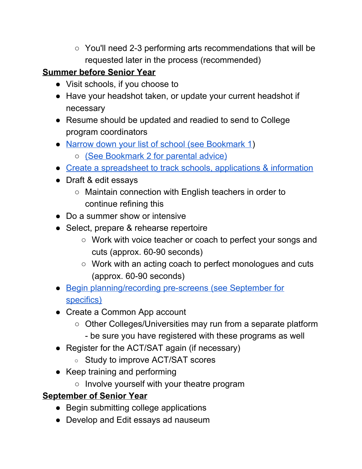○ You'll need 2-3 performing arts recommendations that will be requested later in the process (recommended)

#### **Summer before Senior Year**

- Visit schools, if you choose to
- Have your headshot taken, or update your current headshot if necessary
- Resume should be updated and readied to send to College program coordinators
- Narrow down your list of school (see [Bookmark](#page-5-1) 1)
	- (See [Bookmark](#page-5-2) 2 for parental advice)
- Create a [spreadsheet](#page-5-3) to track schools, applications & information
- Draft & edit essays
	- Maintain connection with English teachers in order to continue refining this
- Do a summer show or intensive
- Select, prepare & rehearse repertoire
	- Work with voice teacher or coach to perfect your songs and cuts (approx. 60-90 seconds)
	- Work with an acting coach to perfect monologues and cuts (approx. 60-90 seconds)
- Begin [planning/recording](#page-5-4) pre-screens (see September for [specifics\)](#page-5-4)
- Create a Common App account
	- Other Colleges/Universities may run from a separate platform - be sure you have registered with these programs as well
- Register for the ACT/SAT again (if necessary)
	- Study to improve ACT/SAT scores
- Keep training and performing
	- Involve yourself with your theatre program

#### **September of Senior Year**

- Begin submitting college applications
- Develop and Edit essays ad nauseum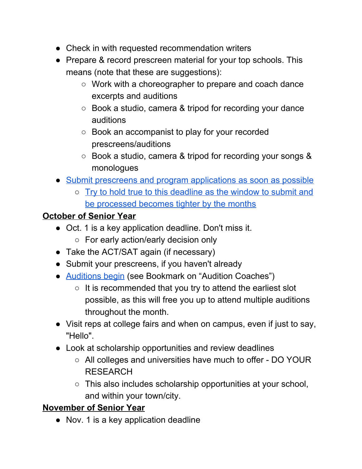- Check in with requested recommendation writers
- Prepare & record prescreen material for your top schools. This means (note that these are suggestions):
	- Work with a choreographer to prepare and coach dance excerpts and auditions
	- Book a studio, camera & tripod for recording your dance auditions
	- Book an accompanist to play for your recorded prescreens/auditions
	- Book a studio, camera & tripod for recording your songs & monologues
- Submit prescreens and program [applications](#page-5-4) as soon as possible
	- Try to hold true to this [deadline](#page-5-4) as the window to submit and be [processed](#page-5-4) becomes tighter by the months

#### **October of Senior Year**

- Oct. 1 is a key application deadline. Don't miss it.
	- For early action/early decision only
- Take the ACT/SAT again (if necessary)
- Submit your prescreens, if you haven't already
- [Auditions](#page-6-0) begin (see Bookmark on "Audition Coaches")
	- $\circ$  It is recommended that you try to attend the earliest slot possible, as this will free you up to attend multiple auditions throughout the month.
- Visit reps at college fairs and when on campus, even if just to say, "Hello".
- Look at scholarship opportunities and review deadlines
	- All colleges and universities have much to offer DO YOUR RESEARCH
	- This also includes scholarship opportunities at your school, and within your town/city.

#### **November of Senior Year**

● Nov. 1 is a key application deadline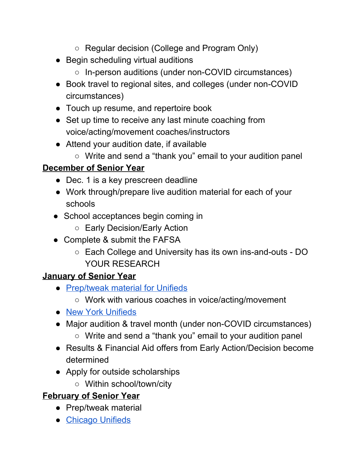- Regular decision (College and Program Only)
- Begin scheduling virtual auditions
	- In-person auditions (under non-COVID circumstances)
- Book travel to regional sites, and colleges (under non-COVID circumstances)
- Touch up resume, and repertoire book
- Set up time to receive any last minute coaching from voice/acting/movement coaches/instructors
- Attend your audition date, if available
	- Write and send a "thank you" email to your audition panel

#### **December of Senior Year**

- Dec. 1 is a key prescreen deadline
- Work through/prepare live audition material for each of your schools
- School acceptances begin coming in
	- Early Decision/Early Action
- Complete & submit the FAFSA
	- Each College and University has its own ins-and-outs DO YOUR RESEARCH

#### **January of Senior Year**

- [Prep/tweak](#page-6-1) material for Unifieds
	- Work with various coaches in voice/acting/movement
- New York [Unifieds](https://unifiedauditions.com/)
- Major audition & travel month (under non-COVID circumstances)
	- Write and send a "thank you" email to your audition panel
- Results & Financial Aid offers from Early Action/Decision become determined
- Apply for outside scholarships
	- Within school/town/city

#### **February of Senior Year**

- Prep/tweak material
- [Chicago](https://unifiedauditions.com/) Unifieds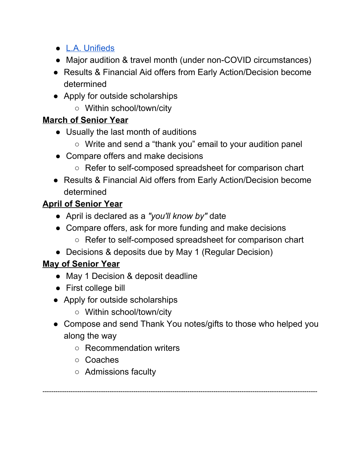- L.A. [Unifieds](https://unifiedauditions.com/)
- Major audition & travel month (under non-COVID circumstances)
- Results & Financial Aid offers from Early Action/Decision become determined
- Apply for outside scholarships
	- Within school/town/city

## **March of Senior Year**

- Usually the last month of auditions
	- Write and send a "thank you" email to your audition panel
- Compare offers and make decisions
	- Refer to self-composed spreadsheet for comparison chart
- Results & Financial Aid offers from Early Action/Decision become determined

## **April of Senior Year**

- April is declared as a *"you'll know by"* date
- Compare offers, ask for more funding and make decisions
	- Refer to self-composed spreadsheet for comparison chart
- Decisions & deposits due by May 1 (Regular Decision)

#### **May of Senior Year**

- May 1 Decision & deposit deadline
- First college bill
- Apply for outside scholarships
	- Within school/town/city
- Compose and send Thank You notes/gifts to those who helped you along the way

-------------------------------------------------------------------------------------------------------------------------------

- Recommendation writers
- Coaches
- Admissions faculty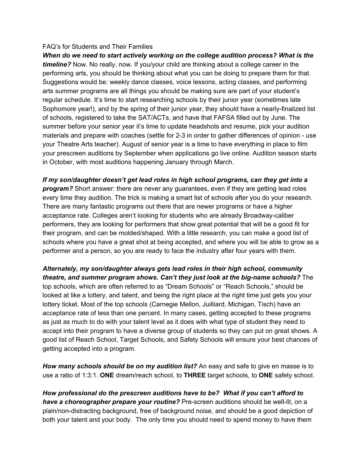#### FAQ's for Students and Their Families

<span id="page-5-0"></span>*When do we need to start actively working on the college audition process? What is the timeline?* Now. No really, now. If you/your child are thinking about a college career in the performing arts, you should be thinking about what you can be doing to prepare them for that. Suggestions would be: weekly dance classes, voice lessons, acting classes, and performing arts summer programs are all things you should be making sure are part of your student's regular schedule. It's time to start researching schools by their junior year (sometimes late Sophomore year!), and by the spring of their junior year, they should have a nearly-finalized list of schools, registered to take the SAT/ACTs, and have that FAFSA filled out by June. The summer before your senior year it's time to update headshots and resume, pick your audition materials and prepare with coaches (settle for 2-3 in order to gather differences of opinion - use your Theatre Arts teacher). August of senior year is a time to have everything in place to film your prescreen auditions by September when applications go live online. Audition season starts in October, with most auditions happening January through March.

<span id="page-5-1"></span>*If my son/daughter doesn't get lead roles in high school programs, can they get into a program?* Short answer: there are never any guarantees, even if they are getting lead roles every time they audition. The trick is making a smart list of schools after you do your research. There are many fantastic programs out there that are newer programs or have a higher acceptance rate. Colleges aren't looking for students who are already Broadway-caliber performers, they are looking for performers that show great potential that will be a good fit for their program, and can be molded/shaped. With a little research, you can make a good list of schools where you have a great shot at being accepted, and where you will be able to grow as a performer and a person, so you are ready to face the industry after four years with them.

<span id="page-5-2"></span>*Alternately, my son/daughter always gets lead roles in their high school, community theatre, and summer program shows. Can't they just look at the big-name schools?* The top schools, which are often referred to as "Dream Schools" or "Reach Schools," should be looked at like a lottery, and talent, and being the right place at the right time just gets you your lottery ticket. Most of the top schools (Carnegie Mellon, Juilliard, Michigan, Tisch) have an acceptance rate of less than one percent. In many cases, getting accepted to these programs as just as much to do with your talent level as it does with what type of student they need to accept into their program to have a diverse group of students so they can put on great shows. A good list of Reach School, Target Schools, and Safety Schools will ensure your best chances of getting accepted into a program.

<span id="page-5-3"></span>*How many schools should be on my audition list?* An easy and safe to give en masse is to use a ratio of 1:3:1. **ONE** dream/reach school, to **THREE** target schools, to **ONE** safety school.

<span id="page-5-4"></span>*How professional do the prescreen auditions have to be? What if you can't afford to have a choreographer prepare your routine?* Pre-screen auditions should be well-lit, on a plain/non-distracting background, free of background noise, and should be a good depiction of both your talent and your body. The only time you should need to spend money to have them